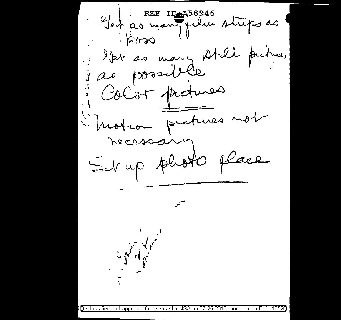REF IDAA58946 Gest as many film strips as  $\sim$  2008  $3.724^{\circ}$ mary Atel fues possible  $\omega$ CoCor protuces i Motion protuses n place Set up photo C. W. Mary Leonard Declassified and approved for release by NSA on 07-25-2013 pursuant to E.O. 13526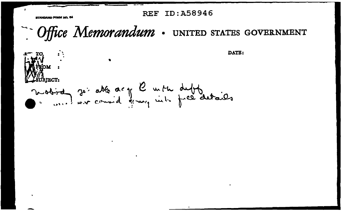**REF ID: A58946** 

*BTANDARD FORM I* 

- Office Memorandum . UNITED STATES GOVERNMENT

DATE: mobinez je able as y l'un tu duft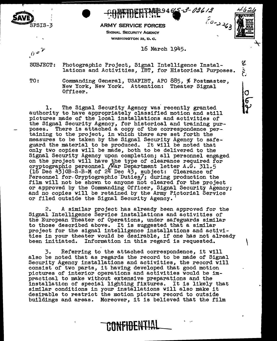

ARMY SERVICE FORCES  $\overline{\phantom{a}}^{a}$ 

SIGNAL SECURITY AGENCY WASHINGTON 25, D.C.

### 16 March 1945.

PAGB9465-3-03613

 $\tilde{\mathbf{r}}$ 

 $\overline{O}$ 

'

SUBJECT: Photographic Project, Signal Intelligence Installations and Activities, IBT, for Historical Purposes.

 $\hat{D}^{\varphi}$ 

TO: Commanding General, USAFIBT, APO 885, % Postmaster, New York, New York. Attention: Theater Signal Officer.

1. The Signal Security Agency was recently granted authority to have appropriately classified motion and still pictures made of the local installations and activities of the Signal Security Agency, for historical and training pur-<br>poses. There is attached a copy of the correspondence pertaining to the project, in which there are set forth the measures to be taken by the Signal Security Agency to safe-<br>guard the material to be produced. It will be noted that guard the material to be produced. only two copies will be made, both to be delivered to the Signal Security Agency upon completion; all personnel engaged on the project will have the type of clearance required for cryptographic personnel /War Department letter A.G. 311.5  $(16$  Dec  $43)$  OB-S-B-M of 24 Dec  $43$ , subject: Clearance of Personnel for Cryptographic Duties, during production the film will not be shown to anyone not cleared for the project or approved by the Commanding Officer, Signal Security Agency;<br>and no copies will be retained by the Army Pictorial Service or filed outside the Signal Security Agency.

2. A similar project has already been approved for the Signal Intelligence Service installations and activities of the European Theater of Operations, under safeguards similar to those described above. It is suggested that a similar project for the signal intelligence installations and activities in your theater would be desirable, if one has not already been initiated. Information in this regard is requested.

3. Referring to the attached correspondence, it will<br>also be noted that as regards the record to be made of Signal Security Agency installations and activities, the record will consist of two parts, it having developed that good motion pictures of interior operations and activities would be impractical to make without extensive preparations and the installation of special lighting fixtures. It is likely that similar conditions in your installations will also make it desirable to restrict the motion picture record to outside buildings and areas. Moreover, it is believed that the film

**CONFIBEHTlnl** . -'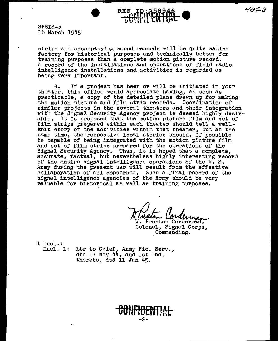SPSIS-3 16 March 1945

strips and accompanying sound records will be quite satisfactory for historical purposes and technically better for training purposes than a complete motion picture record. A record of the installations and operations of field radio intelligence installations and activities is regarded as being very important.

**REF ID:A5894** 

4. If a project has been or will be initiated in your theater, this office would appreciate having, as soon as practicable, a copy of the detailed plans drawn up for making the motion picture and film strip records. Coordination of similar projects in the several theaters and their integration with the Signal Security Agency project is deemed highly desir-<br>able. It is proposed that the motion picture film and set of It is proposed that the motion picture film and set of film strips prepared within each theater should tell a wellknit story of the activities within that theater, but at the same time, the respective local stories should, if possible be capable of being integrated with the motion picture film and set of film strips prepared for the operations of the Signal Security Agency. Thus, it is hoped that a complete, accurate, factual, but nevertheless highly interesting record of the entire signal intelligence operations of the U. s. Army during the present war will result from the effective collaboration of all concerned. Such a final record of the signal intelligence agencies of the Army should be very valuable for historical as well as training pu~poses.

Maldr. Colding<br>W. Preston Corderman, Colonel, Signal Corps, Commanding.

1 Incl.:<br>Incl. 1:

Ltr to Chief, Army Pic. Serv., dtd 17 Nov 44, and 1st Ind. thereto, dtd 11 Jan 45.

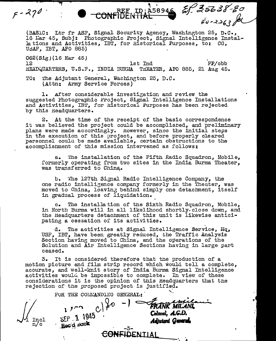(BASIC: Ltr fr ASF. Signal Security Agency, Washington 25, D.C., 16 Mar 45, Subj: Photographic Project, Signal Intelligence Installations and Activities, IBT, for Historical Purposes, to: CG, USAF. IBT. APO 885)

 $\overline{N}$ . 10:458946  $\overline{q}$ , 22000  $\overline{e}$ 

~ *t) ...* .<\_~'.J

 $062(Sig)(16$  Mar 45)<br>12  $12$  lst  $\text{Ind}$   $\text{FP/cbb}$ <br> $12$  lst  $\text{Ind}$   $\text{FP/cbb}$ HEADQUARTERS, U.S.F., INDIA BURMA THEATER, APO 885, 21 Aug 45.

<u>REE</u> ID<br>CONFIDENTI

TO: The Adjutant General, Washington 25, D.C. (Attn: Army Service Forces)

 $F - 270$ 

1. Arter considerable investigation and review the suggested Photographic Project. Signal Intelligence Installations and Activities, IBT, for Historical Purposes has been rejected by this Headquarters.

2. At the time of the receipt of the basic correspondence it was believed the project could be accomplisned, and preliminary plans were made accordingly. tlowever, since the initial *steps*  in the execution of this project, and before properly cleared personnel coulu be made available, certain obstructions to the accomplishment of this mission intervened as follows:

a. 'l'he installation of the Fifth Radio Squadron, Mobile, formerly operating from two sites in the India Burma Theater, was transferred to China.

b. 'fhe 127th Signal Radio Intelligence Company, the one radio intelligence company formerly in the Theater, was moved to China, loaving behind simply one detachment, itself in gradual process of liquidation.

c. The installation of the Sixth Radio Squadron, Mobile, in North Burma will in all likelihood shortly.close down, and the Headquarters detachment of this unit is likewise anticipating a cessation of its activities.

d. The activities at Signal Intelligence Service, Uq, USP, IBT, have been greatly reauced, the Traffic Analysis Section having moved to China, and the operations of the Solution and Air Intelligence Sections having in large part ceased.

3. It is considered therefore that the production of a motion picture and film strip record which would tell a complete, accurate, and well-knit story of India Burma Signal Intelligence activities would be impossible to complete. In view of these considerations it is the opinion of this Headquarters that the rejection of the proposed project is justified.

| $_{\mathrm{n/c}}^{\mathrm{Incl}}$<br>$\boldsymbol{\mathcal{N}}$ | FOR THE COMMANDING GENERAL:<br>$SEP = 1.1945$<br>Becid pack | $-3-$ | FRANK MILANI<br>Colonel, A.G.D.<br><b>Adjutant General</b> |
|-----------------------------------------------------------------|-------------------------------------------------------------|-------|------------------------------------------------------------|
|                                                                 | <b>ANFIDENT</b>                                             |       |                                                            |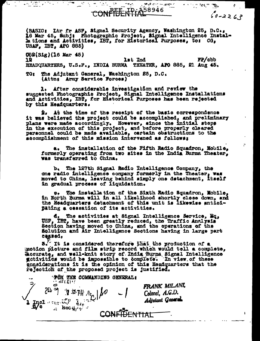58946

79

المستعمل من المناطقينات<br>سبب

حى 22-0 كە

化十分分解机

(BASIC: Ltr fr ASF, Signal Security Agency, Washington 25, D.C., 16 Mar 45, Subj: Photographic Project, Signal Intelligence Installations and Activities,  $\text{IBT}_2$  for Historical Purposes, to:  $Gd_a$ USAF, IBT, APO 885)

**Q62(Sig)(16 Mar 45)** FP/obb lst Ind 12 HEADQUARTERS, U.S.F., INDIA BURMA THEATER, APO 885, 21 Aug 45.

The Adjutant General, Washington 25, D.C. **TO** 2 (Attn: Army Service Forces)

a sa ta

1. After considerable investigation and review the suggested Photographic Project, Signal Intelligence Installations and Activities, IBT, for Historical Purposes has been rejected by this Headquarters.

At the time of the receipt of the basic correspondence 2. it was believed the project could be accomplished, and preliminary plans were made accordingly. However, since the initial steps in the execution of this project, and before properly cleared personnel could be made available, certain obstructions to the accomplishment of this mission intervaned as follows:

a. The installation of the Fifth Radio Squadron, Mobile, formerly operating from two sites in the India Burma Theater. was transferred to China,

b. The 127th Signal Radio Intelligence Company, the one radio intelligence company formerly in the Theater, was moved to China, leaving behind simply one detachment, itself in gradual process of liquidation.

9, The installation of the Sixth Radio Squadron, Mobile, in North Burma will in all likelihood shortly close down, and the Headquarters detachment of this unit is likewise antioi-Bating a cessation of its activities.

d. The activities at Signal Intelligence Service, Mq. USF, IBT, have been greatly reduced, the Traffic Analysis Section having moved to China, and the operations of the Solution and Air Intelligence Sections having in large part **Cessed,** 

5. It is considered therefore that the production of a motion picture and film strip record which would tell a complete, decurate, and well-knit story of India Burns Signal Intelligence getivities would be impossible to complete. In view of these considerations it is the opinion of this Headquarters that the rejection of the proposed project is justified.

**FÖR THE COMMANDING GENERAL: SPECENT** FRANK MILANI. Y STRH JE | 10 Colonel, A.G.D. Adjutant General. mel " ERY WHO Hen Je Recefie. ENTIAL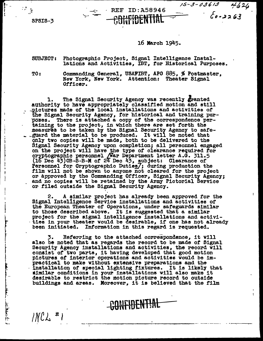SPSIS-3

# **REF ID: A58946**

#### 16 March 1945.

 $15 - 3 - 03613$   $4626$ 

#### **SUBJECT:** Photographic Project, Signal Intelligence Installations and Activities, IBT, for Historical Purposes.

TO:

 $INCL$  #

Commanding General, USAFIBT, APO 885, % Postmaster. New York, New York. Attention: Theater Signal Officer.

The Signal Security Agency was recently granted authority to have appropriately classified motion and still .pictures made of the local installations and activities of the Signal Security Agency, for historical and training purposes. There is attached a copy of the correspondence pertaining to the project, in which there are set forth the measures to be taken by the Signal Security Agency to safe-.guard the material to be produced. It will be noted that only two copies will be made, both to be delivered to the Signal Security Agency upon completion; all personnel engaged on the project will have the type of clearance required for cryptographic personnel (War Department letter A.G. 311.5 (16 Dec 43) OB-8-B-M of 24 Dec 43, subject: Clearance of<br>Personnel for Cryptographic Duties/; during production the<br>film will not be shown to anyone not cleared for the project or approved by the Commanding Officer, Signal Security Agency; and no copies will be retained by the Army Pictorial Service or filed outside the Signal Security Agency.

A similar project has already been approved for the Signal Intelligence Service installations and activities of the European Theater of Operations, under safeguards similar to those described above. It is suggested that a similar project for the signal intelligence installations and activities in your theater would be desirable, if one has not already been initiated. Information in this regard is requested.

Referring to the attached correspondence, it will 3. also be noted that as regards the record to be made of Signal Security Agency installations and activities, the record will consist of two parts, it having developed that good motion pictures of interior operations and activities would be impractical to make without extensive preparations and the installation of special lighting fixtures. It is likely that similar conditions in your installations will also make it desirable to restrict the motion picture record to outside buildings and areas. Moreover, it is believed that the film

BONFIDENTIAL